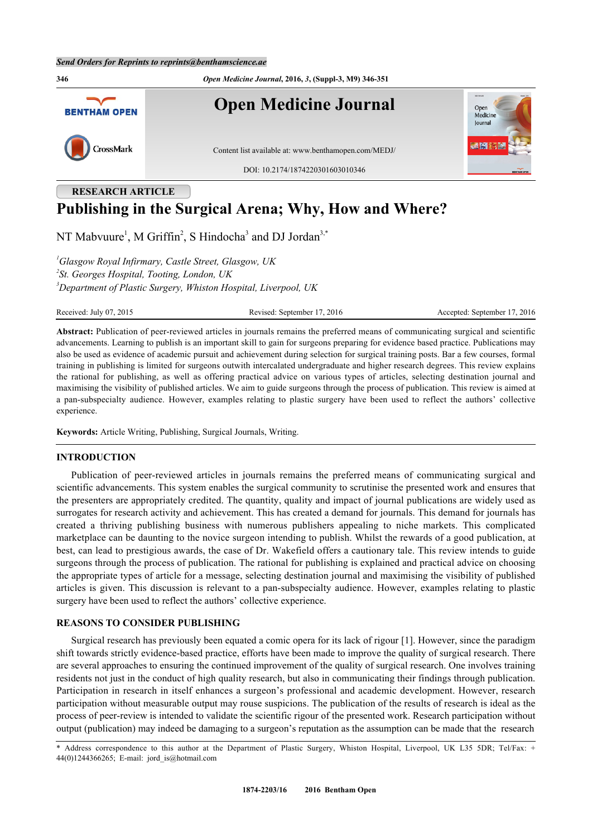

# **RESEARCH ARTICLE Publishing in the Surgical Arena; Why, How and Where?**

NT Mabvuure<sup>[1](#page-0-0)</sup>, M Griffin<sup>[2](#page-0-1)</sup>, S Hindocha<sup>[3](#page-0-2)</sup> and DJ Jordan<sup>3,[\\*](#page-0-3)</sup>

<span id="page-0-2"></span><span id="page-0-1"></span><span id="page-0-0"></span>*<sup>1</sup>Glasgow Royal Infirmary, Castle Street, Glasgow, UK 2 St. Georges Hospital, Tooting, London, UK <sup>3</sup>Department of Plastic Surgery, Whiston Hospital, Liverpool, UK*

Received: July 07, 2015 Revised: September 17, 2016 Accepted: September 17, 2016

**Abstract:** Publication of peer-reviewed articles in journals remains the preferred means of communicating surgical and scientific advancements. Learning to publish is an important skill to gain for surgeons preparing for evidence based practice. Publications may also be used as evidence of academic pursuit and achievement during selection for surgical training posts. Bar a few courses, formal training in publishing is limited for surgeons outwith intercalated undergraduate and higher research degrees. This review explains the rational for publishing, as well as offering practical advice on various types of articles, selecting destination journal and maximising the visibility of published articles. We aim to guide surgeons through the process of publication. This review is aimed at a pan-subspecialty audience. However, examples relating to plastic surgery have been used to reflect the authors' collective experience.

**Keywords:** Article Writing, Publishing, Surgical Journals, Writing.

#### **INTRODUCTION**

Publication of peer-reviewed articles in journals remains the preferred means of communicating surgical and scientific advancements. This system enables the surgical community to scrutinise the presented work and ensures that the presenters are appropriately credited. The quantity, quality and impact of journal publications are widely used as surrogates for research activity and achievement. This has created a demand for journals. This demand for journals has created a thriving publishing business with numerous publishers appealing to niche markets. This complicated marketplace can be daunting to the novice surgeon intending to publish. Whilst the rewards of a good publication, at best, can lead to prestigious awards, the case of Dr. Wakefield offers a cautionary tale. This review intends to guide surgeons through the process of publication. The rational for publishing is explained and practical advice on choosing the appropriate types of article for a message, selecting destination journal and maximising the visibility of published articles is given. This discussion is relevant to a pan-subspecialty audience. However, examples relating to plastic surgery have been used to reflect the authors' collective experience.

#### **REASONS TO CONSIDER PUBLISHING**

Surgical research has previously been equated a comic opera for its lack of rigour [[1](#page-4-0)]. However, since the paradigm shift towards strictly evidence-based practice, efforts have been made to improve the quality of surgical research. There are several approaches to ensuring the continued improvement of the quality of surgical research. One involves training residents not just in the conduct of high quality research, but also in communicating their findings through publication. Participation in research in itself enhances a surgeon's professional and academic development. However, research participation without measurable output may rouse suspicions. The publication of the results of research is ideal as the process of peer-review is intended to validate the scientific rigour of the presented work. Research participation without output (publication) may indeed be damaging to a surgeon's reputation as the assumption can be made that the research

<span id="page-0-3"></span><sup>\*</sup> Address correspondence to this author at the Department of Plastic Surgery, Whiston Hospital, Liverpool, UK L35 5DR; Tel/Fax: + 44(0)1244366265; E-mail: [jord\\_is@hotmail.com](mailto:jord_is@hotmail.com)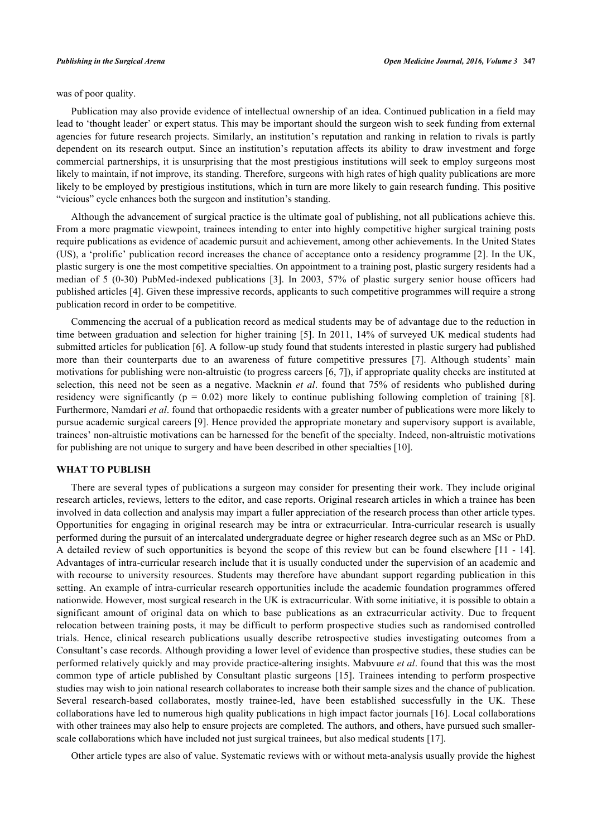was of poor quality.

Publication may also provide evidence of intellectual ownership of an idea. Continued publication in a field may lead to 'thought leader' or expert status. This may be important should the surgeon wish to seek funding from external agencies for future research projects. Similarly, an institution's reputation and ranking in relation to rivals is partly dependent on its research output. Since an institution's reputation affects its ability to draw investment and forge commercial partnerships, it is unsurprising that the most prestigious institutions will seek to employ surgeons most likely to maintain, if not improve, its standing. Therefore, surgeons with high rates of high quality publications are more likely to be employed by prestigious institutions, which in turn are more likely to gain research funding. This positive "vicious" cycle enhances both the surgeon and institution's standing.

Although the advancement of surgical practice is the ultimate goal of publishing, not all publications achieve this. From a more pragmatic viewpoint, trainees intending to enter into highly competitive higher surgical training posts require publications as evidence of academic pursuit and achievement, among other achievements. In the United States (US), a 'prolific' publication record increases the chance of acceptance onto a residency programme [[2](#page-4-1)]. In the UK, plastic surgery is one the most competitive specialties. On appointment to a training post, plastic surgery residents had a median of 5 (0-30) PubMed-indexed publications[[3\]](#page-4-2). In 2003, 57% of plastic surgery senior house officers had published articles [[4\]](#page-4-3). Given these impressive records, applicants to such competitive programmes will require a strong publication record in order to be competitive.

Commencing the accrual of a publication record as medical students may be of advantage due to the reduction in time between graduation and selection for higher training [\[5](#page-4-4)]. In 2011, 14% of surveyed UK medical students had submitted articles for publication [\[6](#page-4-5)]. A follow-up study found that students interested in plastic surgery had published more than their counterparts due to an awareness of future competitive pressures[[7\]](#page-4-6). Although students' main motivations for publishing were non-altruistic (to progress careers [[6,](#page-4-5) [7\]](#page-4-6)), if appropriate quality checks are instituted at selection, this need not be seen as a negative. Macknin *et al*. found that 75% of residents who published during residencywere significantly ( $p = 0.02$ ) more likely to continue publishing following completion of training [[8\]](#page-4-7). Furthermore, Namdari *et al*. found that orthopaedic residents with a greater number of publications were more likely to pursue academic surgical careers [[9](#page-4-8)]. Hence provided the appropriate monetary and supervisory support is available, trainees' non-altruistic motivations can be harnessed for the benefit of the specialty. Indeed, non-altruistic motivations for publishing are not unique to surgery and have been described in other specialties [\[10](#page-4-9)].

#### **WHAT TO PUBLISH**

There are several types of publications a surgeon may consider for presenting their work. They include original research articles, reviews, letters to the editor, and case reports. Original research articles in which a trainee has been involved in data collection and analysis may impart a fuller appreciation of the research process than other article types. Opportunities for engaging in original research may be intra or extracurricular. Intra-curricular research is usually performed during the pursuit of an intercalated undergraduate degree or higher research degree such as an MSc or PhD. A detailed review of such opportunities is beyond the scope of this review but can be found elsewhere [\[11](#page-4-10) - [14\]](#page-4-11). Advantages of intra-curricular research include that it is usually conducted under the supervision of an academic and with recourse to university resources. Students may therefore have abundant support regarding publication in this setting. An example of intra-curricular research opportunities include the academic foundation programmes offered nationwide. However, most surgical research in the UK is extracurricular. With some initiative, it is possible to obtain a significant amount of original data on which to base publications as an extracurricular activity. Due to frequent relocation between training posts, it may be difficult to perform prospective studies such as randomised controlled trials. Hence, clinical research publications usually describe retrospective studies investigating outcomes from a Consultant's case records. Although providing a lower level of evidence than prospective studies, these studies can be performed relatively quickly and may provide practice-altering insights. Mabvuure *et al*. found that this was the most common type of article published by Consultant plastic surgeons[[15\]](#page-4-12). Trainees intending to perform prospective studies may wish to join national research collaborates to increase both their sample sizes and the chance of publication. Several research-based collaborates, mostly trainee-led, have been established successfully in the UK. These collaborations have led to numerous high quality publications in high impact factor journals [[16\]](#page-4-13). Local collaborations with other trainees may also help to ensure projects are completed. The authors, and others, have pursued such smallerscale collaborations which have included not just surgical trainees, but also medical students [[17\]](#page-4-14).

Other article types are also of value. Systematic reviews with or without meta-analysis usually provide the highest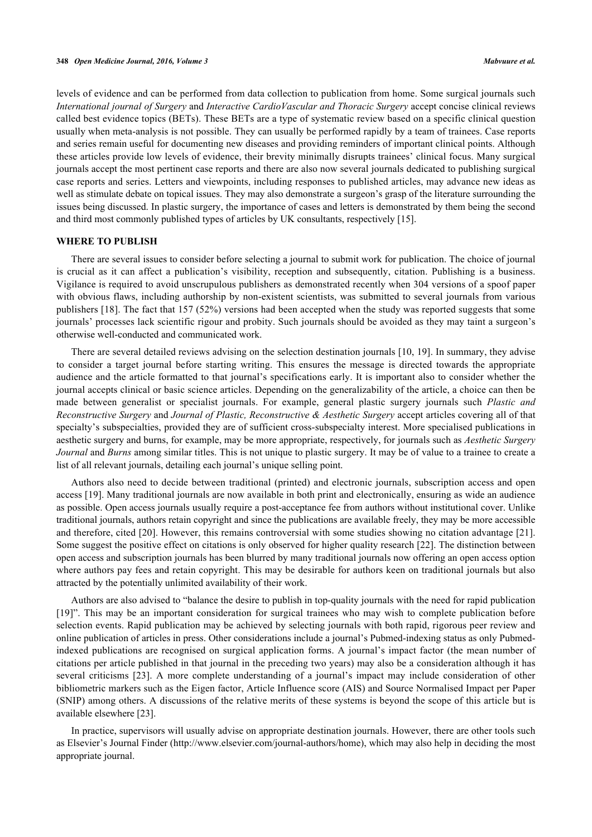levels of evidence and can be performed from data collection to publication from home. Some surgical journals such *International journal of Surgery* and *Interactive CardioVascular and Thoracic Surgery* accept concise clinical reviews called best evidence topics (BETs). These BETs are a type of systematic review based on a specific clinical question usually when meta-analysis is not possible. They can usually be performed rapidly by a team of trainees. Case reports and series remain useful for documenting new diseases and providing reminders of important clinical points. Although these articles provide low levels of evidence, their brevity minimally disrupts trainees' clinical focus. Many surgical journals accept the most pertinent case reports and there are also now several journals dedicated to publishing surgical case reports and series. Letters and viewpoints, including responses to published articles, may advance new ideas as well as stimulate debate on topical issues. They may also demonstrate a surgeon's grasp of the literature surrounding the issues being discussed. In plastic surgery, the importance of cases and letters is demonstrated by them being the second and third most commonly published types of articles by UK consultants, respectively [\[15](#page-4-12)].

#### **WHERE TO PUBLISH**

There are several issues to consider before selecting a journal to submit work for publication. The choice of journal is crucial as it can affect a publication's visibility, reception and subsequently, citation. Publishing is a business. Vigilance is required to avoid unscrupulous publishers as demonstrated recently when 304 versions of a spoof paper with obvious flaws, including authorship by non-existent scientists, was submitted to several journals from various publishers [[18](#page-4-15)]. The fact that 157 (52%) versions had been accepted when the study was reported suggests that some journals' processes lack scientific rigour and probity. Such journals should be avoided as they may taint a surgeon's otherwise well-conducted and communicated work.

There are several detailed reviews advising on the selection destination journals [[10](#page-4-9), [19\]](#page-4-16). In summary, they advise to consider a target journal before starting writing. This ensures the message is directed towards the appropriate audience and the article formatted to that journal's specifications early. It is important also to consider whether the journal accepts clinical or basic science articles. Depending on the generalizability of the article, a choice can then be made between generalist or specialist journals. For example, general plastic surgery journals such *Plastic and Reconstructive Surgery* and *Journal of Plastic, Reconstructive & Aesthetic Surgery* accept articles covering all of that specialty's subspecialties, provided they are of sufficient cross-subspecialty interest. More specialised publications in aesthetic surgery and burns, for example, may be more appropriate, respectively, for journals such as *Aesthetic Surgery Journal* and *Burns* among similar titles. This is not unique to plastic surgery. It may be of value to a trainee to create a list of all relevant journals, detailing each journal's unique selling point.

Authors also need to decide between traditional (printed) and electronic journals, subscription access and open access [[19\]](#page-4-16). Many traditional journals are now available in both print and electronically, ensuring as wide an audience as possible. Open access journals usually require a post-acceptance fee from authors without institutional cover. Unlike traditional journals, authors retain copyright and since the publications are available freely, they may be more accessible and therefore, cited [[20](#page-4-17)]. However, this remains controversial with some studies showing no citation advantage [\[21\]](#page-5-0). Some suggest the positive effect on citations is only observed for higher quality research [[22\]](#page-5-1). The distinction between open access and subscription journals has been blurred by many traditional journals now offering an open access option where authors pay fees and retain copyright. This may be desirable for authors keen on traditional journals but also attracted by the potentially unlimited availability of their work.

Authors are also advised to "balance the desire to publish in top-quality journals with the need for rapid publication [\[19](#page-4-16)]". This may be an important consideration for surgical trainees who may wish to complete publication before selection events. Rapid publication may be achieved by selecting journals with both rapid, rigorous peer review and online publication of articles in press. Other considerations include a journal's Pubmed-indexing status as only Pubmedindexed publications are recognised on surgical application forms. A journal's impact factor (the mean number of citations per article published in that journal in the preceding two years) may also be a consideration although it has several criticisms[[23](#page-5-2)]. A more complete understanding of a journal's impact may include consideration of other bibliometric markers such as the Eigen factor, Article Influence score (AIS) and Source Normalised Impact per Paper (SNIP) among others. A discussions of the relative merits of these systems is beyond the scope of this article but is available elsewhere [\[23](#page-5-2)].

In practice, supervisors will usually advise on appropriate destination journals. However, there are other tools such as Elsevier's Journal Finder ([http://www.elsevier.com/journal-authors/home\)](http://www.elsevier.com/journal-authors/home), which may also help in deciding the most appropriate journal.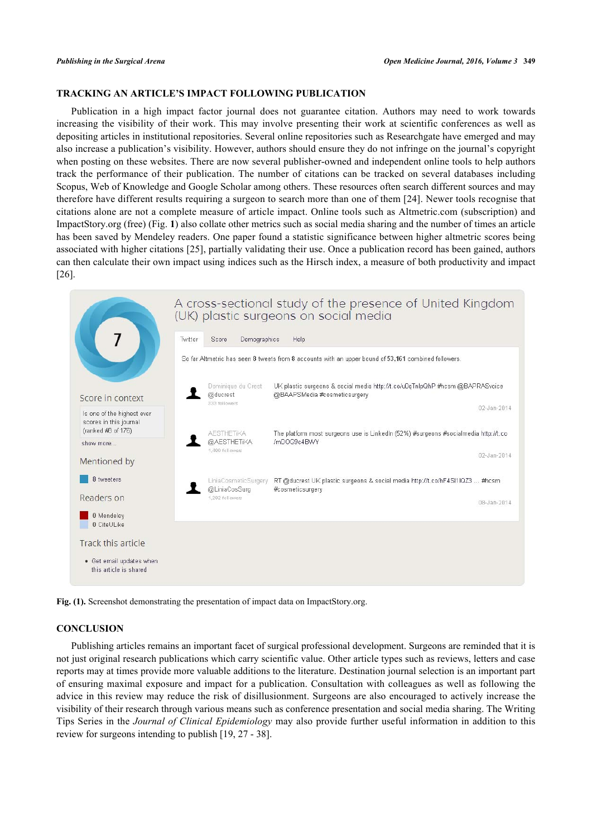# **TRACKING AN ARTICLE'S IMPACT FOLLOWING PUBLICATION**

Publication in a high impact factor journal does not guarantee citation. Authors may need to work towards increasing the visibility of their work. This may involve presenting their work at scientific conferences as well as depositing articles in institutional repositories. Several online repositories such as Researchgate have emerged and may also increase a publication's visibility. However, authors should ensure they do not infringe on the journal's copyright when posting on these websites. There are now several publisher-owned and independent online tools to help authors track the performance of their publication. The number of citations can be tracked on several databases including Scopus, Web of Knowledge and Google Scholar among others. These resources often search different sources and may therefore have different results requiring a surgeon to search more than one of them [\[24\]](#page-5-3). Newer tools recognise that citations alone are not a complete measure of article impact. Online tools such as Altmetric.com (subscription) and ImpactStory.org (free) (Fig. **[1](#page-3-0)**) also collate other metrics such as social media sharing and the number of times an article has been saved by Mendeley readers. One paper found a statistic significance between higher altmetric scores being associated with higher citations [\[25](#page-5-4)], partially validating their use. Once a publication record has been gained, authors can then calculate their own impact using indices such as the Hirsch index, a measure of both productivity and impact [\[26](#page-5-5)].

<span id="page-3-0"></span>

**Fig. (1).** Screenshot demonstrating the presentation of impact data on ImpactStory.org.

# **CONCLUSION**

Publishing articles remains an important facet of surgical professional development. Surgeons are reminded that it is not just original research publications which carry scientific value. Other article types such as reviews, letters and case reports may at times provide more valuable additions to the literature. Destination journal selection is an important part of ensuring maximal exposure and impact for a publication. Consultation with colleagues as well as following the advice in this review may reduce the risk of disillusionment. Surgeons are also encouraged to actively increase the visibility of their research through various means such as conference presentation and social media sharing. The Writing Tips Series in the *Journal of Clinical Epidemiology* may also provide further useful information in addition to this review for surgeons intending to publish [\[19](#page-4-16), [27](#page-5-6) - [38\]](#page-5-7).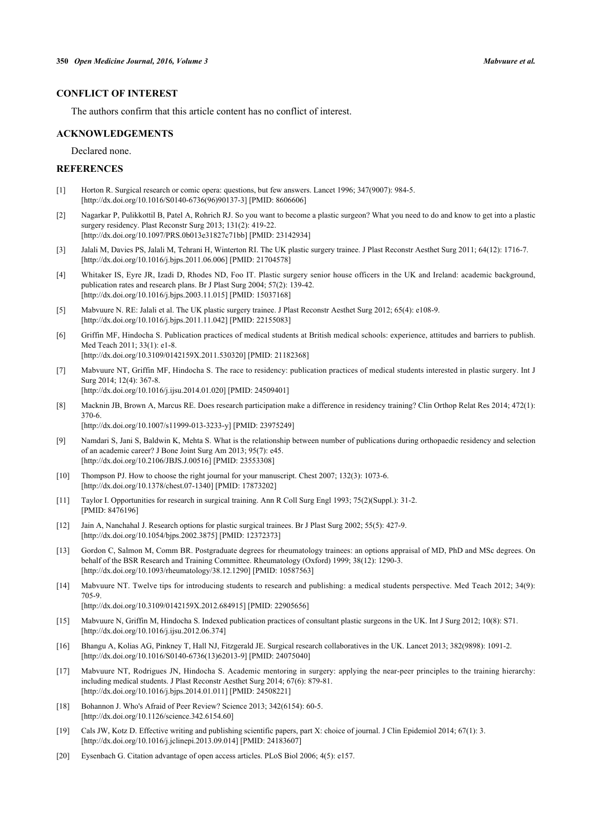# **CONFLICT OF INTEREST**

The authors confirm that this article content has no conflict of interest.

### **ACKNOWLEDGEMENTS**

Declared none.

# **REFERENCES**

- <span id="page-4-0"></span>[1] Horton R. Surgical research or comic opera: questions, but few answers. Lancet 1996; 347(9007): 984-5. [\[http://dx.doi.org/10.1016/S0140-6736\(96\)90137-3\]](http://dx.doi.org/10.1016/S0140-6736(96)90137-3) [PMID: [8606606](http://www.ncbi.nlm.nih.gov/pubmed/8606606)]
- <span id="page-4-1"></span>[2] Nagarkar P, Pulikkottil B, Patel A, Rohrich RJ. So you want to become a plastic surgeon? What you need to do and know to get into a plastic surgery residency. Plast Reconstr Surg 2013; 131(2): 419-22. [\[http://dx.doi.org/10.1097/PRS.0b013e31827c71bb](http://dx.doi.org/10.1097/PRS.0b013e31827c71bb)] [PMID: [23142934\]](http://www.ncbi.nlm.nih.gov/pubmed/23142934)
- <span id="page-4-2"></span>[3] Jalali M, Davies PS, Jalali M, Tehrani H, Winterton RI. The UK plastic surgery trainee. J Plast Reconstr Aesthet Surg 2011; 64(12): 1716-7. [\[http://dx.doi.org/10.1016/j.bjps.2011.06.006](http://dx.doi.org/10.1016/j.bjps.2011.06.006)] [PMID: [21704578\]](http://www.ncbi.nlm.nih.gov/pubmed/21704578)
- <span id="page-4-3"></span>[4] Whitaker IS, Eyre JR, Izadi D, Rhodes ND, Foo IT. Plastic surgery senior house officers in the UK and Ireland: academic background, publication rates and research plans. Br J Plast Surg 2004; 57(2): 139-42. [\[http://dx.doi.org/10.1016/j.bjps.2003.11.015](http://dx.doi.org/10.1016/j.bjps.2003.11.015)] [PMID: [15037168\]](http://www.ncbi.nlm.nih.gov/pubmed/15037168)
- <span id="page-4-4"></span>[5] Mabvuure N. RE: Jalali et al. The UK plastic surgery trainee. J Plast Reconstr Aesthet Surg 2012; 65(4): e108-9. [\[http://dx.doi.org/10.1016/j.bjps.2011.11.042](http://dx.doi.org/10.1016/j.bjps.2011.11.042)] [PMID: [22155083\]](http://www.ncbi.nlm.nih.gov/pubmed/22155083)
- <span id="page-4-5"></span>[6] Griffin MF, Hindocha S. Publication practices of medical students at British medical schools: experience, attitudes and barriers to publish. Med Teach 2011; 33(1): e1-8. [\[http://dx.doi.org/10.3109/0142159X.2011.530320\]](http://dx.doi.org/10.3109/0142159X.2011.530320) [PMID: [21182368](http://www.ncbi.nlm.nih.gov/pubmed/21182368)]
- <span id="page-4-6"></span>[7] Mabvuure NT, Griffin MF, Hindocha S. The race to residency: publication practices of medical students interested in plastic surgery. Int J Surg 2014; 12(4): 367-8. [\[http://dx.doi.org/10.1016/j.ijsu.2014.01.020\]](http://dx.doi.org/10.1016/j.ijsu.2014.01.020) [PMID: [24509401](http://www.ncbi.nlm.nih.gov/pubmed/24509401)]
- <span id="page-4-7"></span>[8] Macknin JB, Brown A, Marcus RE. Does research participation make a difference in residency training? Clin Orthop Relat Res 2014; 472(1): 370-6.

[\[http://dx.doi.org/10.1007/s11999-013-3233-y\]](http://dx.doi.org/10.1007/s11999-013-3233-y) [PMID: [23975249](http://www.ncbi.nlm.nih.gov/pubmed/23975249)]

- <span id="page-4-8"></span>[9] Namdari S, Jani S, Baldwin K, Mehta S. What is the relationship between number of publications during orthopaedic residency and selection of an academic career? J Bone Joint Surg Am 2013; 95(7): e45. [\[http://dx.doi.org/10.2106/JBJS.J.00516\]](http://dx.doi.org/10.2106/JBJS.J.00516) [PMID: [23553308](http://www.ncbi.nlm.nih.gov/pubmed/23553308)]
- <span id="page-4-9"></span>[10] Thompson PJ. How to choose the right journal for your manuscript. Chest 2007; 132(3): 1073-6. [\[http://dx.doi.org/10.1378/chest.07-1340\]](http://dx.doi.org/10.1378/chest.07-1340) [PMID: [17873202](http://www.ncbi.nlm.nih.gov/pubmed/17873202)]
- <span id="page-4-10"></span>[11] Taylor I. Opportunities for research in surgical training. Ann R Coll Surg Engl 1993; 75(2)(Suppl.): 31-2. [PMID: [8476196\]](http://www.ncbi.nlm.nih.gov/pubmed/8476196)
- [12] Jain A, Nanchahal J. Research options for plastic surgical trainees. Br J Plast Surg 2002; 55(5): 427-9. [\[http://dx.doi.org/10.1054/bjps.2002.3875](http://dx.doi.org/10.1054/bjps.2002.3875)] [PMID: [12372373\]](http://www.ncbi.nlm.nih.gov/pubmed/12372373)
- [13] Gordon C, Salmon M, Comm BR. Postgraduate degrees for rheumatology trainees: an options appraisal of MD, PhD and MSc degrees. On behalf of the BSR Research and Training Committee. Rheumatology (Oxford) 1999; 38(12): 1290-3. [\[http://dx.doi.org/10.1093/rheumatology/38.12.1290](http://dx.doi.org/10.1093/rheumatology/38.12.1290)] [PMID: [10587563](http://www.ncbi.nlm.nih.gov/pubmed/10587563)]
- <span id="page-4-11"></span>[14] Mabvuure NT. Twelve tips for introducing students to research and publishing: a medical students perspective. Med Teach 2012; 34(9): 705-9. [\[http://dx.doi.org/10.3109/0142159X.2012.684915\]](http://dx.doi.org/10.3109/0142159X.2012.684915) [PMID: [22905656](http://www.ncbi.nlm.nih.gov/pubmed/22905656)]
- <span id="page-4-12"></span>[15] Mabvuure N, Griffin M, Hindocha S. Indexed publication practices of consultant plastic surgeons in the UK. Int J Surg 2012; 10(8): S71. [\[http://dx.doi.org/10.1016/j.ijsu.2012.06.374\]](http://dx.doi.org/10.1016/j.ijsu.2012.06.374)
- <span id="page-4-13"></span>[16] Bhangu A, Kolias AG, Pinkney T, Hall NJ, Fitzgerald JE. Surgical research collaboratives in the UK. Lancet 2013; 382(9898): 1091-2. [\[http://dx.doi.org/10.1016/S0140-6736\(13\)62013-9\]](http://dx.doi.org/10.1016/S0140-6736(13)62013-9) [PMID: [24075040](http://www.ncbi.nlm.nih.gov/pubmed/24075040)]
- <span id="page-4-14"></span>[17] Mabvuure NT, Rodrigues JN, Hindocha S. Academic mentoring in surgery: applying the near-peer principles to the training hierarchy: including medical students. J Plast Reconstr Aesthet Surg 2014; 67(6): 879-81. [\[http://dx.doi.org/10.1016/j.bjps.2014.01.011](http://dx.doi.org/10.1016/j.bjps.2014.01.011)] [PMID: [24508221\]](http://www.ncbi.nlm.nih.gov/pubmed/24508221)
- <span id="page-4-15"></span>[18] Bohannon J. Who's Afraid of Peer Review? Science 2013; 342(6154): 60-5. [\[http://dx.doi.org/10.1126/science.342.6154.60](http://dx.doi.org/10.1126/science.342.6154.60)]
- <span id="page-4-16"></span>[19] Cals JW, Kotz D. Effective writing and publishing scientific papers, part X: choice of journal. J Clin Epidemiol 2014; 67(1): 3. [\[http://dx.doi.org/10.1016/j.jclinepi.2013.09.014](http://dx.doi.org/10.1016/j.jclinepi.2013.09.014)] [PMID: [24183607\]](http://www.ncbi.nlm.nih.gov/pubmed/24183607)
- <span id="page-4-17"></span>[20] Eysenbach G. Citation advantage of open access articles. PLoS Biol 2006; 4(5): e157.